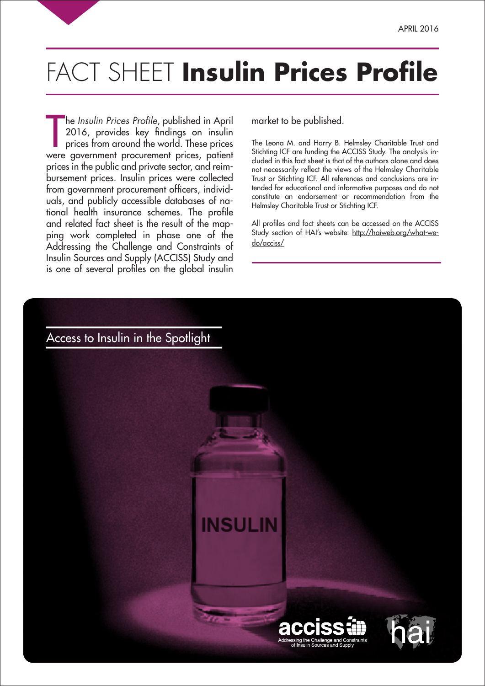# FACT SHEET **Insulin Prices Profile**

The *Insulin Prices Profile*, published in April<br>2016, provides key findings on insulin<br>prices from around the world. These prices<br>were government procurement prices, patient he *Insulin Prices Profile*, published in April 2016, provides key findings on insulin prices from around the world. These prices prices in the public and private sector, and reimbursement prices. Insulin prices were collected from government procurement officers, individuals, and publicly accessible databases of national health insurance schemes. The profile and related fact sheet is the result of the mapping work completed in phase one of the Addressing the Challenge and Constraints of Insulin Sources and Supply (ACCISS) Study and is one of several profiles on the global insulin

market to be published.

The Leona M. and Harry B. Helmsley Charitable Trust and Stichting ICF are funding the ACCISS Study. The analysis included in this fact sheet is that of the authors alone and does not necessarily reflect the views of the Helmsley Charitable Trust or Stichting ICF. All references and conclusions are intended for educational and informative purposes and do not constitute an endorsement or recommendation from the Helmsley Charitable Trust or Stichting ICF.

All profiles and fact sheets can be accessed on the ACCISS Study section of HAI's website: http://haiweb.org/what-wedo/acciss/